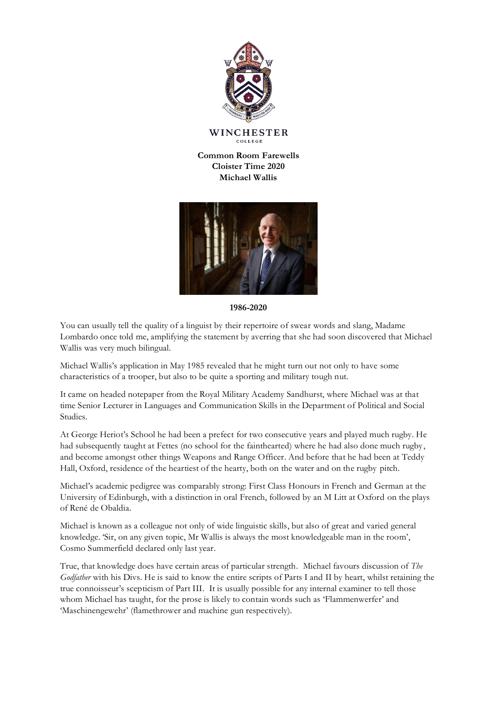

WINCHESTER COLLEGE

**Common Room Farewells Cloister Time 2020 Michael Wallis**



**1986-2020**

You can usually tell the quality of a linguist by their repertoire of swear words and slang, Madame Lombardo once told me, amplifying the statement by averring that she had soon discovered that Michael Wallis was very much bilingual.

Michael Wallis's application in May 1985 revealed that he might turn out not only to have some characteristics of a trooper, but also to be quite a sporting and military tough nut.

It came on headed notepaper from the Royal Military Academy Sandhurst, where Michael was at that time Senior Lecturer in Languages and Communication Skills in the Department of Political and Social Studies.

At George Heriot's School he had been a prefect for two consecutive years and played much rugby. He had subsequently taught at Fettes (no school for the fainthearted) where he had also done much rugby, and become amongst other things Weapons and Range Officer. And before that he had been at Teddy Hall, Oxford, residence of the heartiest of the hearty, both on the water and on the rugby pitch.

Michael's academic pedigree was comparably strong: First Class Honours in French and German at the University of Edinburgh, with a distinction in oral French, followed by an M Litt at Oxford on the plays of René de Obaldia.

Michael is known as a colleague not only of wide linguistic skills, but also of great and varied general knowledge. 'Sir, on any given topic, Mr Wallis is always the most knowledgeable man in the room', Cosmo Summerfield declared only last year.

True, that knowledge does have certain areas of particular strength. Michael favours discussion of *The Godfather* with his Divs. He is said to know the entire scripts of Parts I and II by heart, whilst retaining the true connoisseur's scepticism of Part III. It is usually possible for any internal examiner to tell those whom Michael has taught, for the prose is likely to contain words such as 'Flammenwerfer' and 'Maschinengewehr' (flamethrower and machine gun respectively).